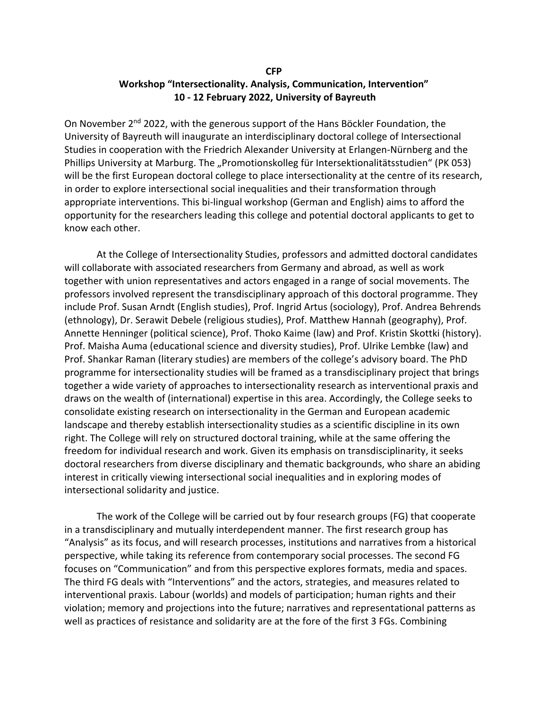## **CFP Workshop "Intersectionality. Analysis, Communication, Intervention" 10 - 12 February 2022, University of Bayreuth**

On November  $2^{nd}$  2022, with the generous support of the Hans Böckler Foundation, the University of Bayreuth will inaugurate an interdisciplinary doctoral college of Intersectional Studies in cooperation with the Friedrich Alexander University at Erlangen-Nürnberg and the Phillips University at Marburg. The "Promotionskolleg für Intersektionalitätsstudien" (PK 053) will be the first European doctoral college to place intersectionality at the centre of its research, in order to explore intersectional social inequalities and their transformation through appropriate interventions. This bi-lingual workshop (German and English) aims to afford the opportunity for the researchers leading this college and potential doctoral applicants to get to know each other.

At the College of Intersectionality Studies, professors and admitted doctoral candidates will collaborate with associated researchers from Germany and abroad, as well as work together with union representatives and actors engaged in a range of social movements. The professors involved represent the transdisciplinary approach of this doctoral programme. They include Prof. Susan Arndt (English studies), Prof. Ingrid Artus (sociology), Prof. Andrea Behrends (ethnology), Dr. Serawit Debele (religious studies), Prof. Matthew Hannah (geography), Prof. Annette Henninger (political science), Prof. Thoko Kaime (law) and Prof. Kristin Skottki (history). Prof. Maisha Auma (educational science and diversity studies), Prof. Ulrike Lembke (law) and Prof. Shankar Raman (literary studies) are members of the college's advisory board. The PhD programme for intersectionality studies will be framed as a transdisciplinary project that brings together a wide variety of approaches to intersectionality research as interventional praxis and draws on the wealth of (international) expertise in this area. Accordingly, the College seeks to consolidate existing research on intersectionality in the German and European academic landscape and thereby establish intersectionality studies as a scientific discipline in its own right. The College will rely on structured doctoral training, while at the same offering the freedom for individual research and work. Given its emphasis on transdisciplinarity, it seeks doctoral researchers from diverse disciplinary and thematic backgrounds, who share an abiding interest in critically viewing intersectional social inequalities and in exploring modes of intersectional solidarity and justice.

The work of the College will be carried out by four research groups (FG) that cooperate in a transdisciplinary and mutually interdependent manner. The first research group has "Analysis" as its focus, and will research processes, institutions and narratives from a historical perspective, while taking its reference from contemporary social processes. The second FG focuses on "Communication" and from this perspective explores formats, media and spaces. The third FG deals with "Interventions" and the actors, strategies, and measures related to interventional praxis. Labour (worlds) and models of participation; human rights and their violation; memory and projections into the future; narratives and representational patterns as well as practices of resistance and solidarity are at the fore of the first 3 FGs. Combining